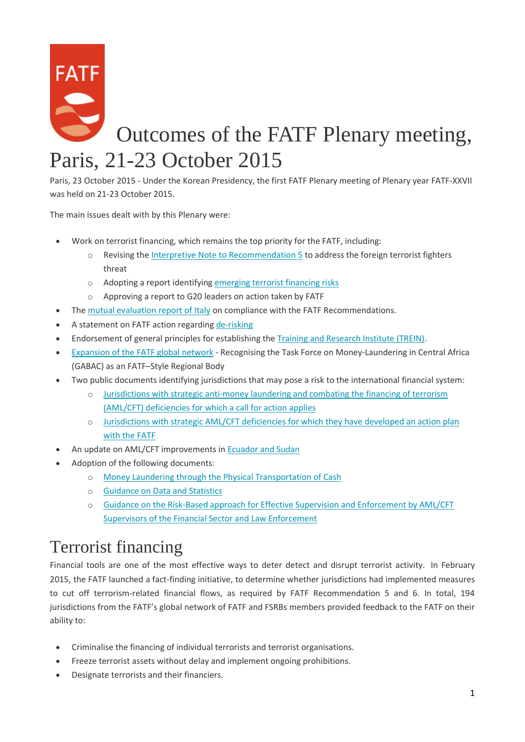

Paris, 23 October 2015 - Under the Korean Presidency, the first FATF Plenary meeting of Plenary year FATF-XXVII was held on 21-23 October 2015.

The main issues dealt with by this Plenary were:

- Work on terrorist financing, which remains the top priority for the FATF, including:
	- o Revising the [Interpretive Note to Recommendation 5](http://www.fatf-gafi.org/publications/fatfgeneral/documents/outcomes-plenary-october-2015.html#ftf) to address the foreign terrorist fighters threat
	- o Adopting a report identifying [emerging terrorist financing risks](http://www.fatf-gafi.org/publications/fatfgeneral/documents/outcomes-plenary-october-2015.html#tf-risks)
	- o Approving a report to G20 leaders on action taken by FATF
- The [mutual evaluation report of Italy](http://www.fatf-gafi.org/publications/fatfgeneral/documents/outcomes-plenary-october-2015.html#italy) on compliance with the FATF Recommendations.
- A statement on FATF action regarding [de-risking](http://www.fatf-gafi.org/publications/fatfrecommendations/documents/fatf-action-to-tackle-de-risking.html)
- Endorsement of general principles for establishing the [Training and Research Institute \(TREIN\).](http://www.fatf-gafi.org/publications/fatfgeneral/documents/outcomes-plenary-october-2015.html#trein)
- [Expansion of the FATF global network](http://www.fatf-gafi.org/publications/fatfgeneral/documents/outcomes-plenary-october-2015.html#gabac) Recognising the Task Force on Money-Laundering in Central Africa (GABAC) as an FATF–Style Regional Body
- Two public documents identifying jurisdictions that may pose a risk to the international financial system:
	- o [Jurisdictions with strategic anti-money laundering and combating the financing of terrorism](http://www.fatf-gafi.org/documents/documents/public-statement-october-2015.html)  [\(AML/CFT\) deficiencies for which a call for action applies](http://www.fatf-gafi.org/documents/documents/public-statement-october-2015.html)
	- o [Jurisdictions with strategic AML/CFT deficiencies for which they have developed an action plan](http://www.fatf-gafi.org/documents/documents/fatf-compliance-october-2015.html)  [with the FATF](http://www.fatf-gafi.org/documents/documents/fatf-compliance-october-2015.html)
- An update on AML/CFT improvements in [Ecuador and Sudan](http://www.fatf-gafi.org/publications/fatfgeneral/documents/outcomes-plenary-october-2015.html#ecuador-sudan)
- Adoption of the following documents:
	- o [Money Laundering through the Physical Transportation of Cash](http://www.fatf-gafi.org/publications/fatfgeneral/documents/outcomes-plenary-october-2015.html#cash)
	- o [Guidance on Data and Statistics](http://www.fatf-gafi.org/publications/fatfgeneral/documents/outcomes-plenary-october-2015.html#data-statistics)
	- o [Guidance on the Risk-Based approach for Effective Supervision and Enforcement by AML/CFT](http://www.fatf-gafi.org/publications/fatfgeneral/documents/outcomes-plenary-october-2015.html#supervision-enforcement)  [Supervisors of the Financial Sector and Law Enforcement](http://www.fatf-gafi.org/publications/fatfgeneral/documents/outcomes-plenary-october-2015.html#supervision-enforcement)

### Terrorist financing

Financial tools are one of the most effective ways to deter detect and disrupt terrorist activity. In February 2015, the FATF launched a fact-finding initiative, to determine whether jurisdictions had implemented measures to cut off terrorism-related financial flows, as required by FATF Recommendation 5 and 6. In total, 194 jurisdictions from the FATF's global network of FATF and FSRBs members provided feedback to the FATF on their ability to:

- Criminalise the financing of individual terrorists and terrorist organisations.
- Freeze terrorist assets without delay and implement ongoing prohibitions.
- Designate terrorists and their financiers.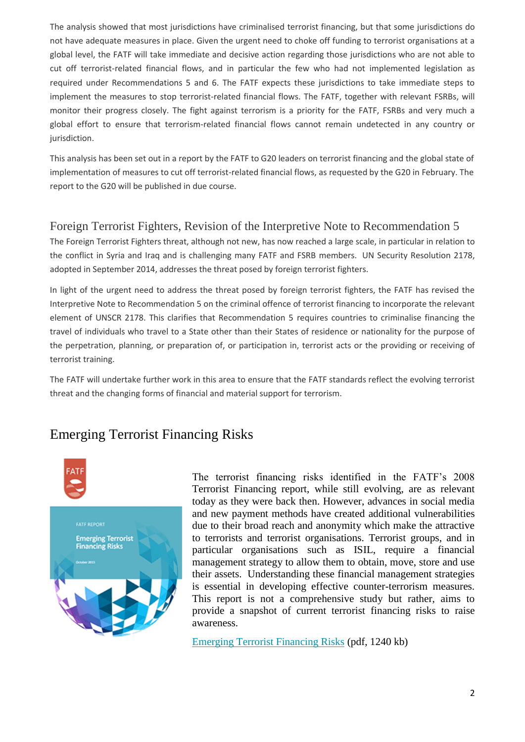The analysis showed that most jurisdictions have criminalised terrorist financing, but that some jurisdictions do not have adequate measures in place. Given the urgent need to choke off funding to terrorist organisations at a global level, the FATF will take immediate and decisive action regarding those jurisdictions who are not able to cut off terrorist-related financial flows, and in particular the few who had not implemented legislation as required under Recommendations 5 and 6. The FATF expects these jurisdictions to take immediate steps to implement the measures to stop terrorist-related financial flows. The FATF, together with relevant FSRBs, will monitor their progress closely. The fight against terrorism is a priority for the FATF, FSRBs and very much a global effort to ensure that terrorism-related financial flows cannot remain undetected in any country or jurisdiction.

This analysis has been set out in a report by the FATF to G20 leaders on terrorist financing and the global state of implementation of measures to cut off terrorist-related financial flows, as requested by the G20 in February. The report to the G20 will be published in due course.

#### Foreign Terrorist Fighters, Revision of the Interpretive Note to Recommendation 5

The Foreign Terrorist Fighters threat, although not new, has now reached a large scale, in particular in relation to the conflict in Syria and Iraq and is challenging many FATF and FSRB members. UN Security Resolution 2178, adopted in September 2014, addresses the threat posed by foreign terrorist fighters.

In light of the urgent need to address the threat posed by foreign terrorist fighters, the FATF has revised the Interpretive Note to Recommendation 5 on the criminal offence of terrorist financing to incorporate the relevant element of UNSCR 2178. This clarifies that Recommendation 5 requires countries to criminalise financing the travel of individuals who travel to a State other than their States of residence or nationality for the purpose of the perpetration, planning, or preparation of, or participation in, terrorist acts or the providing or receiving of terrorist training.

The FATF will undertake further work in this area to ensure that the FATF standards reflect the evolving terrorist threat and the changing forms of financial and material support for terrorism.

#### Emerging Terrorist Financing Risks



The terrorist financing risks identified in the FATF's 2008 Terrorist Financing report, while still evolving, are as relevant today as they were back then. However, advances in social media and new payment methods have created additional vulnerabilities due to their broad reach and anonymity which make the attractive to terrorists and terrorist organisations. Terrorist groups, and in particular organisations such as ISIL, require a financial management strategy to allow them to obtain, move, store and use their assets. Understanding these financial management strategies is essential in developing effective counter-terrorism measures. This report is not a comprehensive study but rather, aims to provide a snapshot of current terrorist financing risks to raise awareness.

[Emerging Terrorist Financing Risks](http://www.fatf-gafi.org/media/fatf/documents/reports/Emerging-Terrorist-Financing-Risks.pdf) (pdf, 1240 kb)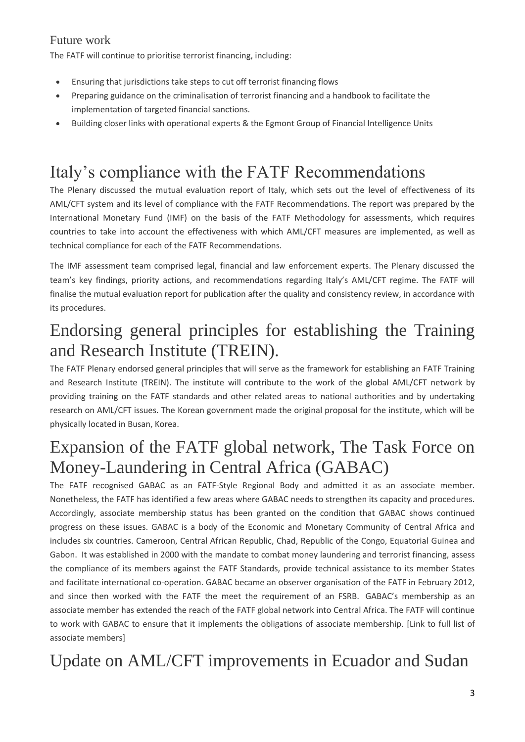#### Future work

The FATF will continue to prioritise terrorist financing, including:

- Ensuring that jurisdictions take steps to cut off terrorist financing flows
- Preparing guidance on the criminalisation of terrorist financing and a handbook to facilitate the implementation of targeted financial sanctions.
- Building closer links with operational experts & the Egmont Group of Financial Intelligence Units

# Italy's compliance with the FATF Recommendations

The Plenary discussed the mutual evaluation report of Italy, which sets out the level of effectiveness of its AML/CFT system and its level of compliance with the FATF Recommendations. The report was prepared by the International Monetary Fund (IMF) on the basis of the FATF Methodology for assessments, which requires countries to take into account the effectiveness with which AML/CFT measures are implemented, as well as technical compliance for each of the FATF Recommendations.

The IMF assessment team comprised legal, financial and law enforcement experts. The Plenary discussed the team's key findings, priority actions, and recommendations regarding Italy's AML/CFT regime. The FATF will finalise the mutual evaluation report for publication after the quality and consistency review, in accordance with its procedures.

### Endorsing general principles for establishing the Training and Research Institute (TREIN).

The FATF Plenary endorsed general principles that will serve as the framework for establishing an FATF Training and Research Institute (TREIN). The institute will contribute to the work of the global AML/CFT network by providing training on the FATF standards and other related areas to national authorities and by undertaking research on AML/CFT issues. The Korean government made the original proposal for the institute, which will be physically located in Busan, Korea.

### Expansion of the FATF global network, The Task Force on Money-Laundering in Central Africa (GABAC)

The FATF recognised GABAC as an FATF-Style Regional Body and admitted it as an associate member. Nonetheless, the FATF has identified a few areas where GABAC needs to strengthen its capacity and procedures. Accordingly, associate membership status has been granted on the condition that GABAC shows continued progress on these issues. GABAC is a body of the Economic and Monetary Community of Central Africa and includes six countries. Cameroon, Central African Republic, Chad, Republic of the Congo, Equatorial Guinea and Gabon. It was established in 2000 with the mandate to combat money laundering and terrorist financing, assess the compliance of its members against the FATF Standards, provide technical assistance to its member States and facilitate international co-operation. GABAC became an observer organisation of the FATF in February 2012, and since then worked with the FATF the meet the requirement of an FSRB. GABAC's membership as an associate member has extended the reach of the FATF global network into Central Africa. The FATF will continue to work with GABAC to ensure that it implements the obligations of associate membership. [Link to full list of associate members]

# Update on AML/CFT improvements in Ecuador and Sudan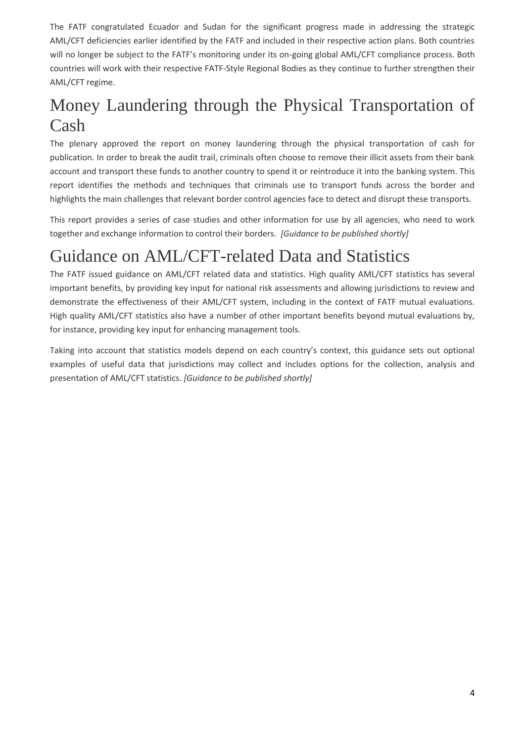The FATF congratulated Ecuador and Sudan for the significant progress made in addressing the strategic AML/CFT deficiencies earlier identified by the FATF and included in their respective action plans. Both countries will no longer be subject to the FATF's monitoring under its on-going global AML/CFT compliance process. Both countries will work with their respective FATF-Style Regional Bodies as they continue to further strengthen their AML/CFT regime.

# Money Laundering through the Physical Transportation of Cash

The plenary approved the report on money laundering through the physical transportation of cash for publication. In order to break the audit trail, criminals often choose to remove their illicit assets from their bank account and transport these funds to another country to spend it or reintroduce it into the banking system. This report identifies the methods and techniques that criminals use to transport funds across the border and highlights the main challenges that relevant border control agencies face to detect and disrupt these transports.

This report provides a series of case studies and other information for use by all agencies, who need to work together and exchange information to control their borders. *[Guidance to be published shortly]*

# Guidance on AML/CFT-related Data and Statistics

The FATF issued guidance on AML/CFT related data and statistics. High quality AML/CFT statistics has several important benefits, by providing key input for national risk assessments and allowing jurisdictions to review and demonstrate the effectiveness of their AML/CFT system, including in the context of FATF mutual evaluations. High quality AML/CFT statistics also have a number of other important benefits beyond mutual evaluations by, for instance, providing key input for enhancing management tools.

Taking into account that statistics models depend on each country's context, this guidance sets out optional examples of useful data that jurisdictions may collect and includes options for the collection, analysis and presentation of AML/CFT statistics. *[Guidance to be published shortly]*